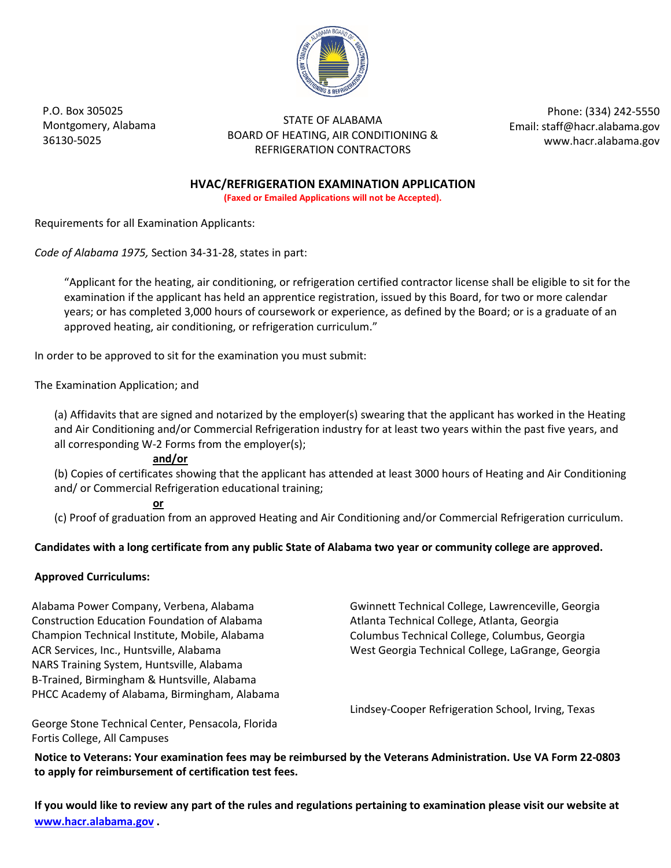

P.O. Box 305025 Montgomery, Alabama 36130-5025

STATE OF ALABAMA BOARD OF HEATING, AIR CONDITIONING & REFRIGERATION CONTRACTORS

Phone: (334) 242-5550 Email: staff@hacr.alabama.gov www.hacr.alabama.gov

**HVAC/REFRIGERATION EXAMINATION APPLICATION**

**(Faxed or Emailed Applications will not be Accepted).** 

Requirements for all Examination Applicants:

*Code of Alabama 1975,* Section 34-31-28, states in part:

"Applicant for the heating, air conditioning, or refrigeration certified contractor license shall be eligible to sit for the examination if the applicant has held an apprentice registration, issued by this Board, for two or more calendar years; or has completed 3,000 hours of coursework or experience, as defined by the Board; or is a graduate of an approved heating, air conditioning, or refrigeration curriculum."

In order to be approved to sit for the examination you must submit:

The Examination Application; and

(a) Affidavits that are signed and notarized by the employer(s) swearing that the applicant has worked in the Heating and Air Conditioning and/or Commercial Refrigeration industry for at least two years within the past five years, and all corresponding W-2 Forms from the employer(s);

#### **and/or**

(b) Copies of certificates showing that the applicant has attended at least 3000 hours of Heating and Air Conditioning and/ or Commercial Refrigeration educational training;

#### **or**

(c) Proof of graduation from an approved Heating and Air Conditioning and/or Commercial Refrigeration curriculum.

#### **Candidates with a long certificate from any public State of Alabama two year or community college are approved.**

#### **Approved Curriculums:**

Alabama Power Company, Verbena, Alabama Construction Education Foundation of Alabama Champion Technical Institute, Mobile, Alabama ACR Services, Inc., Huntsville, Alabama NARS Training System, Huntsville, Alabama B-Trained, Birmingham & Huntsville, Alabama PHCC Academy of Alabama, Birmingham, Alabama Gwinnett Technical College, Lawrenceville, Georgia Atlanta Technical College, Atlanta, Georgia Columbus Technical College, Columbus, Georgia West Georgia Technical College, LaGrange, Georgia

Lindsey-Cooper Refrigeration School, Irving, Texas

George Stone Technical Center, Pensacola, Florida Fortis College, All Campuses

**Notice to Veterans: Your examination fees may be reimbursed by the Veterans Administration. Use VA Form 22-0803 to apply for reimbursement of certification test fees.**

**If you would like to review any part of the rules and regulations pertaining to examination please visit our website at [www.hacr.alabama.gov .](http://www.hacr.alabama.gov/)**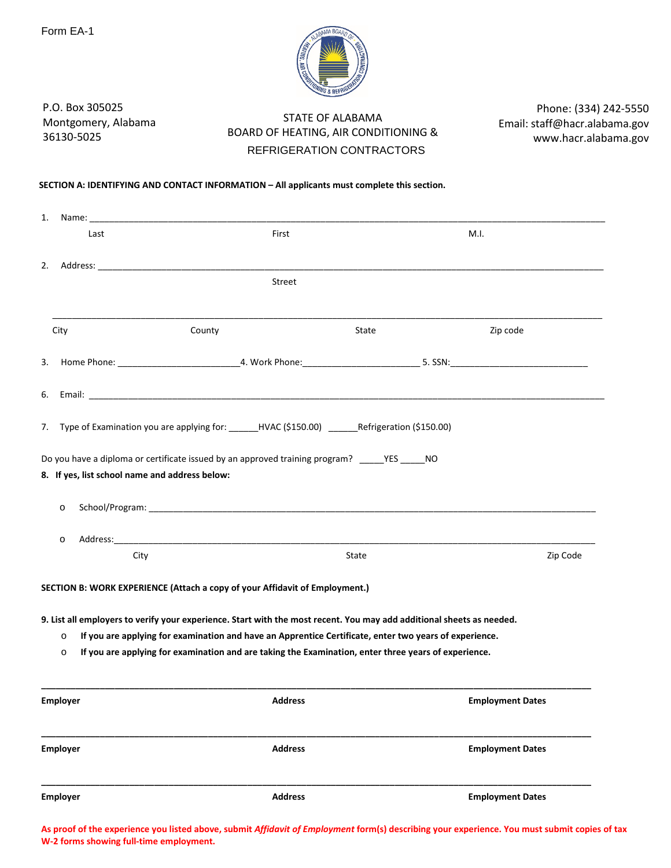

P.O. Box 305025 Montgomery, Alabama 36130-5025

# STATE OF ALABAMA BOARD OF HEATING, AIR CONDITIONING & REFRIGERATION CONTRACTORS

Phone: (334) 242-5550 Email: staff@hacr.alabama.gov www.hacr.alabama.gov

#### **SECTION A: IDENTIFYING AND CONTACT INFORMATION – All applicants must complete this section.**

| 1.                                                        | Name: <u>______________________</u>                                                                                                                                                                                                                                                                                                                                                                                    |       |                         |
|-----------------------------------------------------------|------------------------------------------------------------------------------------------------------------------------------------------------------------------------------------------------------------------------------------------------------------------------------------------------------------------------------------------------------------------------------------------------------------------------|-------|-------------------------|
| Last                                                      | First                                                                                                                                                                                                                                                                                                                                                                                                                  |       | M.I.                    |
| 2.                                                        |                                                                                                                                                                                                                                                                                                                                                                                                                        |       |                         |
|                                                           | Street                                                                                                                                                                                                                                                                                                                                                                                                                 |       |                         |
| City                                                      | County                                                                                                                                                                                                                                                                                                                                                                                                                 | State | Zip code                |
| 3.                                                        |                                                                                                                                                                                                                                                                                                                                                                                                                        |       |                         |
| 6.                                                        |                                                                                                                                                                                                                                                                                                                                                                                                                        |       |                         |
| 7.                                                        | Type of Examination you are applying for: ______HVAC (\$150.00) ______Refrigeration (\$150.00)                                                                                                                                                                                                                                                                                                                         |       |                         |
| 8. If yes, list school name and address below:<br>$\circ$ | Do you have a diploma or certificate issued by an approved training program? ________________________________                                                                                                                                                                                                                                                                                                          |       |                         |
| $\circ$                                                   |                                                                                                                                                                                                                                                                                                                                                                                                                        |       |                         |
| City                                                      |                                                                                                                                                                                                                                                                                                                                                                                                                        | State | Zip Code                |
| $\circ$<br>$\circ$                                        | SECTION B: WORK EXPERIENCE (Attach a copy of your Affidavit of Employment.)<br>9. List all employers to verify your experience. Start with the most recent. You may add additional sheets as needed.<br>If you are applying for examination and have an Apprentice Certificate, enter two years of experience.<br>If you are applying for examination and are taking the Examination, enter three years of experience. |       |                         |
|                                                           |                                                                                                                                                                                                                                                                                                                                                                                                                        |       |                         |
| Employer                                                  | <b>Address</b>                                                                                                                                                                                                                                                                                                                                                                                                         |       | <b>Employment Dates</b> |
| <b>Employer</b>                                           | <b>Address</b>                                                                                                                                                                                                                                                                                                                                                                                                         |       | <b>Employment Dates</b> |
| <b>Employer</b>                                           | <b>Address</b>                                                                                                                                                                                                                                                                                                                                                                                                         |       | <b>Employment Dates</b> |

**As proof of the experience you listed above, submit** *Affidavit of Employment* **form(s) describing your experience. You must submit copies of tax W-2 forms showing full-time employment.**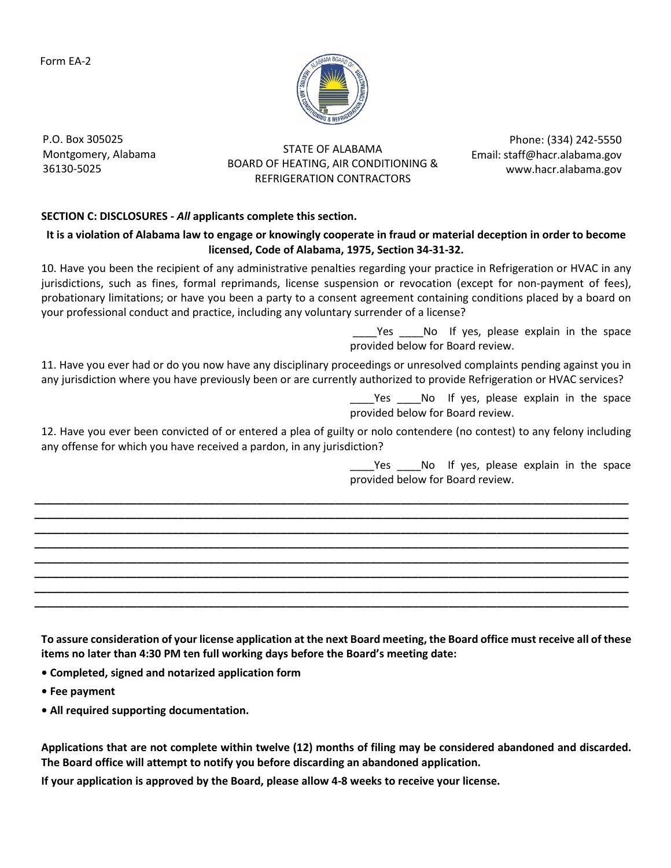Form EA-2



P.O. Box 305025 Montgomery, Alabama 36130-5025

STATE OF ALABAMA BOARD OF HEATING, AIR CONDITIONING & REFRIGERATION CONTRACTORS

Phone: (334) 242-5550 Email: staff@hacr.alabama.gov www.hacr.alabama.gov

## **SECTION C: DISCLOSURES -** *All* **applicants complete this section.**

## **It is a violation of Alabama law to engage or knowingly cooperate in fraud or material deception in order to become licensed, Code of Alabama, 1975, Section 34-31-32.**

10. Have you been the recipient of any administrative penalties regarding your practice in Refrigeration or HVAC in any jurisdictions, such as fines, formal reprimands, license suspension or revocation (except for non-payment of fees), probationary limitations; or have you been a party to a consent agreement containing conditions placed by a board on your professional conduct and practice, including any voluntary surrender of a license?

> Yes \_\_\_\_No If yes, please explain in the space provided below for Board review.

11. Have you ever had or do you now have any disciplinary proceedings or unresolved complaints pending against you in any jurisdiction where you have previously been or are currently authorized to provide Refrigeration or HVAC services?

> Yes No If yes, please explain in the space provided below for Board review.

12. Have you ever been convicted of or entered a plea of guilty or nolo contendere (no contest) to any felony including any offense for which you have received a pardon, in any jurisdiction?

**\_\_\_\_\_\_\_\_\_\_\_\_\_\_\_\_\_\_\_\_\_\_\_\_\_\_\_\_\_\_\_\_\_\_\_\_\_\_\_\_\_\_\_\_\_\_\_\_\_\_\_\_\_\_\_\_\_\_\_\_\_\_\_\_\_\_\_\_\_\_\_\_\_\_\_\_\_\_\_\_\_\_\_\_\_\_\_\_\_\_\_\_\_\_\_\_\_\_\_ \_\_\_\_\_\_\_\_\_\_\_\_\_\_\_\_\_\_\_\_\_\_\_\_\_\_\_\_\_\_\_\_\_\_\_\_\_\_\_\_\_\_\_\_\_\_\_\_\_\_\_\_\_\_\_\_\_\_\_\_\_\_\_\_\_\_\_\_\_\_\_\_\_\_\_\_\_\_\_\_\_\_\_\_\_\_\_\_\_\_\_\_\_\_\_\_\_\_\_ \_\_\_\_\_\_\_\_\_\_\_\_\_\_\_\_\_\_\_\_\_\_\_\_\_\_\_\_\_\_\_\_\_\_\_\_\_\_\_\_\_\_\_\_\_\_\_\_\_\_\_\_\_\_\_\_\_\_\_\_\_\_\_\_\_\_\_\_\_\_\_\_\_\_\_\_\_\_\_\_\_\_\_\_\_\_\_\_\_\_\_\_\_\_\_\_\_\_\_ \_\_\_\_\_\_\_\_\_\_\_\_\_\_\_\_\_\_\_\_\_\_\_\_\_\_\_\_\_\_\_\_\_\_\_\_\_\_\_\_\_\_\_\_\_\_\_\_\_\_\_\_\_\_\_\_\_\_\_\_\_\_\_\_\_\_\_\_\_\_\_\_\_\_\_\_\_\_\_\_\_\_\_\_\_\_\_\_\_\_\_\_\_\_\_\_\_\_\_ \_\_\_\_\_\_\_\_\_\_\_\_\_\_\_\_\_\_\_\_\_\_\_\_\_\_\_\_\_\_\_\_\_\_\_\_\_\_\_\_\_\_\_\_\_\_\_\_\_\_\_\_\_\_\_\_\_\_\_\_\_\_\_\_\_\_\_\_\_\_\_\_\_\_\_\_\_\_\_\_\_\_\_\_\_\_\_\_\_\_\_\_\_\_\_\_\_\_\_ \_\_\_\_\_\_\_\_\_\_\_\_\_\_\_\_\_\_\_\_\_\_\_\_\_\_\_\_\_\_\_\_\_\_\_\_\_\_\_\_\_\_\_\_\_\_\_\_\_\_\_\_\_\_\_\_\_\_\_\_\_\_\_\_\_\_\_\_\_\_\_\_\_\_\_\_\_\_\_\_\_\_\_\_\_\_\_\_\_\_\_\_\_\_\_\_\_\_\_ \_\_\_\_\_\_\_\_\_\_\_\_\_\_\_\_\_\_\_\_\_\_\_\_\_\_\_\_\_\_\_\_\_\_\_\_\_\_\_\_\_\_\_\_\_\_\_\_\_\_\_\_\_\_\_\_\_\_\_\_\_\_\_\_\_\_\_\_\_\_\_\_\_\_\_\_\_\_\_\_\_\_\_\_\_\_\_\_\_\_\_\_\_\_\_\_\_\_\_ \_\_\_\_\_\_\_\_\_\_\_\_\_\_\_\_\_\_\_\_\_\_\_\_\_\_\_\_\_\_\_\_\_\_\_\_\_\_\_\_\_\_\_\_\_\_\_\_\_\_\_\_\_\_\_\_\_\_\_\_\_\_\_\_\_\_\_\_\_\_\_\_\_\_\_\_\_\_\_\_\_\_\_\_\_\_\_\_\_\_\_\_\_\_\_\_\_\_\_**

Yes No If yes, please explain in the space provided below for Board review.

**To assure consideration of your license application at the next Board meeting, the Board office must receive all of these items no later than 4:30 PM ten full working days before the Board's meeting date:**

**• Completed, signed and notarized application form**

**• Fee payment**

**• All required supporting documentation.**

**Applications that are not complete within twelve (12) months of filing may be considered abandoned and discarded. The Board office will attempt to notify you before discarding an abandoned application.**

**If your application is approved by the Board, please allow 4-8 weeks to receive your license.**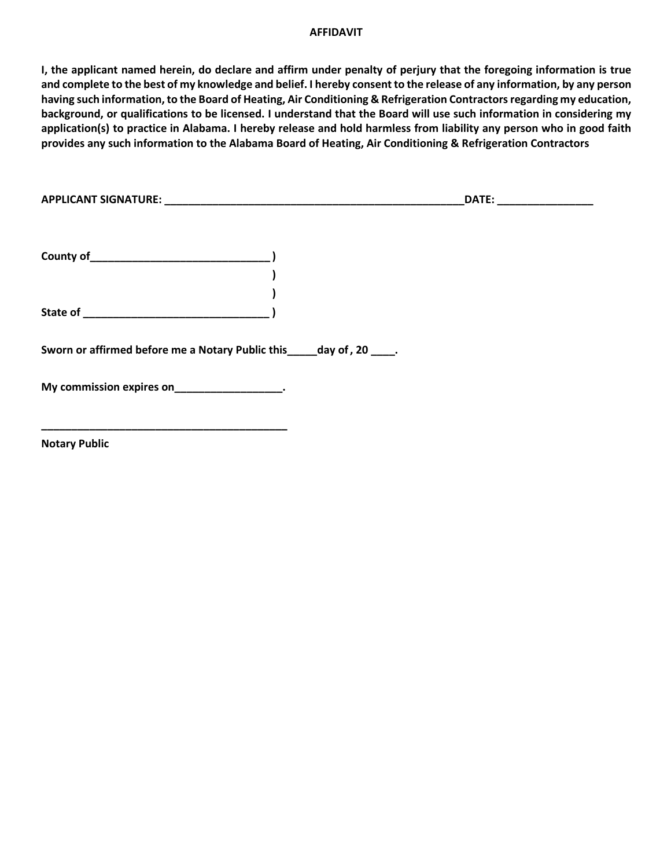#### **AFFIDAVIT**

**I, the applicant named herein, do declare and affirm under penalty of perjury that the foregoing information is true and complete to the best of my knowledge and belief. I hereby consent to the release of any information, by any person having such information, to the Board of Heating, Air Conditioning & Refrigeration Contractors regarding my education, background, or qualifications to be licensed. I understand that the Board will use such information in considering my application(s) to practice in Alabama. I hereby release and hold harmless from liability any person who in good faith provides any such information to the Alabama Board of Heating, Air Conditioning & Refrigeration Contractors**

| <b>APPLICANT SIGNATURE:</b> | $\sim$ $\sim$ $\sim$ |  |
|-----------------------------|----------------------|--|
|                             |                      |  |

**) )** 

**County of\_\_\_\_\_\_\_\_\_\_\_\_\_\_\_\_\_\_\_\_\_\_\_\_\_\_\_\_\_\_ )** 

**State of \_\_\_\_\_\_\_\_\_\_\_\_\_\_\_\_\_\_\_\_\_\_\_\_\_\_\_\_\_\_\_ )** 

**Sworn or affirmed before me a Notary Public this\_\_\_\_\_day of, 20 \_\_\_\_.** 

**My commission expires on\_\_\_\_\_\_\_\_\_\_\_\_\_\_\_\_\_\_.**

**\_\_\_\_\_\_\_\_\_\_\_\_\_\_\_\_\_\_\_\_\_\_\_\_\_\_\_\_\_\_\_\_\_\_\_\_\_\_\_\_\_**

**Notary Public**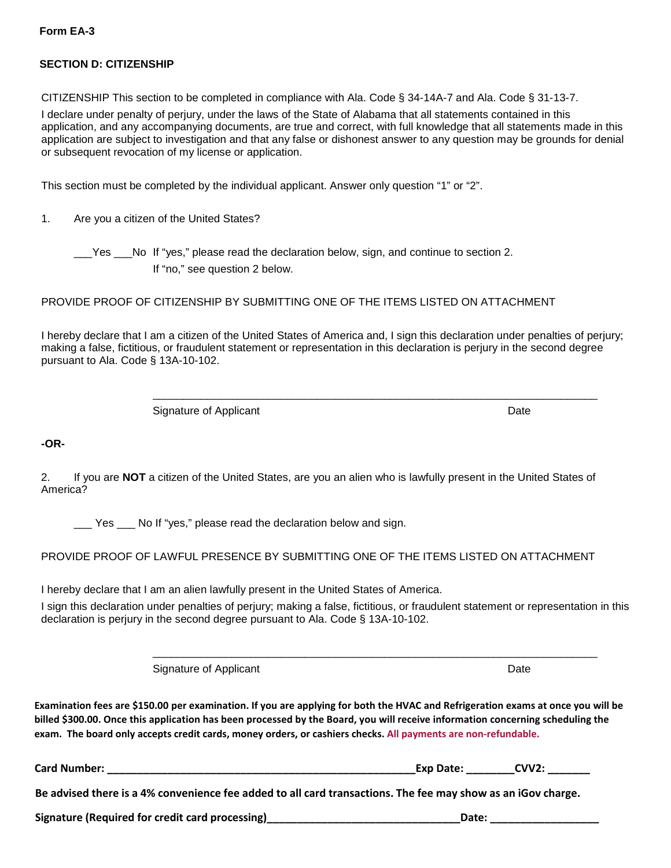## **SECTION D: CITIZENSHIP**

CITIZENSHIP This section to be completed in compliance with Ala. Code § 34-14A-7 and Ala. Code § 31-13-7.

I declare under penalty of perjury, under the laws of the State of Alabama that all statements contained in this application, and any accompanying documents, are true and correct, with full knowledge that all statements made in this application are subject to investigation and that any false or dishonest answer to any question may be grounds for denial or subsequent revocation of my license or application.

This section must be completed by the individual applicant. Answer only question "1" or "2".

1. Are you a citizen of the United States?

\_\_\_Yes \_\_\_No If "yes," please read the declaration below, sign, and continue to section 2. If "no," see question 2 below.

## PROVIDE PROOF OF CITIZENSHIP BY SUBMITTING ONE OF THE ITEMS LISTED ON ATTACHMENT

I hereby declare that I am a citizen of the United States of America and, I sign this declaration under penalties of perjury; making a false, fictitious, or fraudulent statement or representation in this declaration is perjury in the second degree pursuant to Ala. Code § 13A-10-102.

\_\_\_\_\_\_\_\_\_\_\_\_\_\_\_\_\_\_\_\_\_\_\_\_\_\_\_\_\_\_\_\_\_\_\_\_\_\_\_\_\_\_\_\_\_\_\_\_\_\_\_\_\_\_\_\_\_\_\_\_\_\_\_\_\_\_\_\_\_\_\_\_\_

Signature of Applicant Date Date Date Date Date

**-OR-**

2. If you are **NOT** a citizen of the United States, are you an alien who is lawfully present in the United States of America?

Yes No If "yes," please read the declaration below and sign.

PROVIDE PROOF OF LAWFUL PRESENCE BY SUBMITTING ONE OF THE ITEMS LISTED ON ATTACHMENT

I hereby declare that I am an alien lawfully present in the United States of America.

I sign this declaration under penalties of perjury; making a false, fictitious, or fraudulent statement or representation in this declaration is perjury in the second degree pursuant to Ala. Code § 13A-10-102.

\_\_\_\_\_\_\_\_\_\_\_\_\_\_\_\_\_\_\_\_\_\_\_\_\_\_\_\_\_\_\_\_\_\_\_\_\_\_\_\_\_\_\_\_\_\_\_\_\_\_\_\_\_\_\_\_\_\_\_\_\_\_\_\_\_\_\_\_\_\_\_\_\_

Signature of Applicant Date Date Date Date Date

**Examination fees are \$150.00 per examination. If you are applying for both the HVAC and Refrigeration exams at once you will be billed \$300.00. Once this application has been processed by the Board, you will receive information concerning scheduling the exam. The board only accepts credit cards, money orders, or cashiers checks. All payments are non-refundable.**

**Card Number: \_\_\_\_\_\_\_\_\_\_\_\_\_\_\_\_\_\_\_\_\_\_\_\_\_\_\_\_\_\_\_\_\_\_\_\_\_\_\_\_\_\_\_\_\_\_\_\_\_\_\_Exp Date: \_\_\_\_\_\_\_\_CVV2: \_\_\_\_\_\_\_** 

**Be advised there is a 4% convenience fee added to all card transactions. The fee may show as an iGov charge.**

**Signature (Required for credit card processing) Letter and** *Legislature* **(Date: 2001)</del> <b>Date: Date: 2002**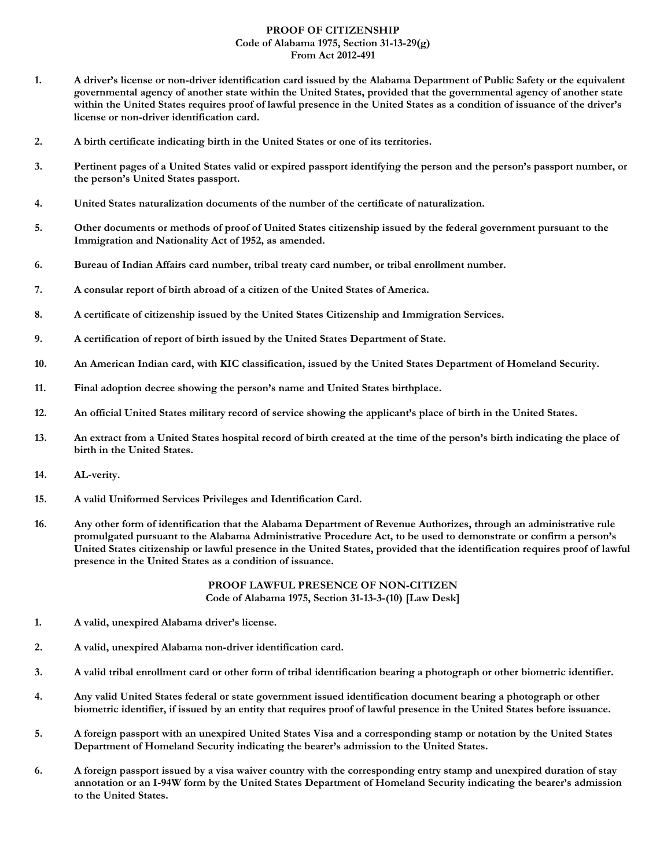#### **PROOF OF CITIZENSHIP Code of Alabama 1975, Section 31-13-29(g) From Act 2012-491**

- **1. A driver's license or non-driver identification card issued by the Alabama Department of Public Safety or the equivalent governmental agency of another state within the United States, provided that the governmental agency of another state within the United States requires proof of lawful presence in the United States as a condition of issuance of the driver's license or non-driver identification card.**
- **2. A birth certificate indicating birth in the United States or one of its territories.**
- **3. Pertinent pages of a United States valid or expired passport identifying the person and the person's passport number, or the person's United States passport.**
- **4. United States naturalization documents of the number of the certificate of naturalization.**
- **5. Other documents or methods of proof of United States citizenship issued by the federal government pursuant to the Immigration and Nationality Act of 1952, as amended.**
- **6. Bureau of Indian Affairs card number, tribal treaty card number, or tribal enrollment number.**
- **7. A consular report of birth abroad of a citizen of the United States of America.**
- **8. A certificate of citizenship issued by the United States Citizenship and Immigration Services.**
- **9. A certification of report of birth issued by the United States Department of State.**
- **10. An American Indian card, with KIC classification, issued by the United States Department of Homeland Security.**
- **11. Final adoption decree showing the person's name and United States birthplace.**
- **12. An official United States military record of service showing the applicant's place of birth in the United States.**
- **13. An extract from a United States hospital record of birth created at the time of the person's birth indicating the place of birth in the United States.**
- **14. AL-verity.**
- **15. A valid Uniformed Services Privileges and Identification Card.**
- **16. Any other form of identification that the Alabama Department of Revenue Authorizes, through an administrative rule promulgated pursuant to the Alabama Administrative Procedure Act, to be used to demonstrate or confirm a person's United States citizenship or lawful presence in the United States, provided that the identification requires proof of lawful presence in the United States as a condition of issuance.**

**PROOF LAWFUL PRESENCE OF NON-CITIZEN Code of Alabama 1975, Section 31-13-3-(10) [Law Desk]**

- **1. A valid, unexpired Alabama driver's license.**
- **2. A valid, unexpired Alabama non-driver identification card.**
- **3. A valid tribal enrollment card or other form of tribal identification bearing a photograph or other biometric identifier.**
- **4. Any valid United States federal or state government issued identification document bearing a photograph or other biometric identifier, if issued by an entity that requires proof of lawful presence in the United States before issuance.**
- **5. A foreign passport with an unexpired United States Visa and a corresponding stamp or notation by the United States Department of Homeland Security indicating the bearer's admission to the United States.**
- **6. A foreign passport issued by a visa waiver country with the corresponding entry stamp and unexpired duration of stay annotation or an I-94W form by the United States Department of Homeland Security indicating the bearer's admission to the United States.**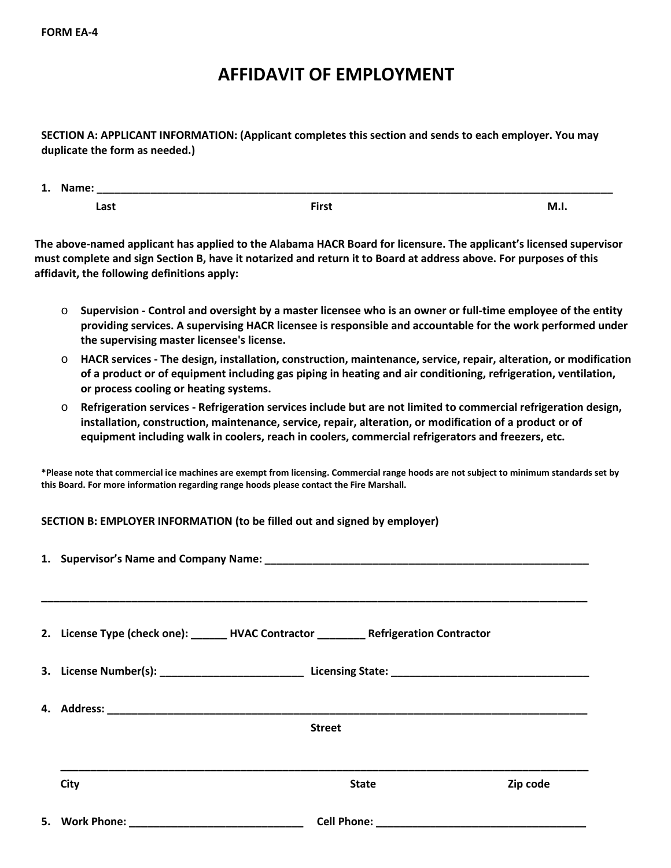# **AFFIDAVIT OF EMPLOYMENT**

**SECTION A: APPLICANT INFORMATION: (Applicant completes this section and sends to each employer. You may duplicate the form as needed.)** 

| 1. | Name: |              |      |
|----|-------|--------------|------|
|    | Last  | <b>First</b> | M.I. |

**The above-named applicant has applied to the Alabama HACR Board for licensure. The applicant's licensed supervisor must complete and sign Section B, have it notarized and return it to Board at address above. For purposes of this affidavit, the following definitions apply:**

- o **Supervision Control and oversight by a master licensee who is an owner or full-time employee of the entity providing services. A supervising HACR licensee is responsible and accountable for the work performed under the supervising master licensee's license.**
- o **HACR services The design, installation, construction, maintenance, service, repair, alteration, or modification of a product or of equipment including gas piping in heating and air conditioning, refrigeration, ventilation, or process cooling or heating systems.**
- o **Refrigeration services Refrigeration services include but are not limited to commercial refrigeration design, installation, construction, maintenance, service, repair, alteration, or modification of a product or of equipment including walk in coolers, reach in coolers, commercial refrigerators and freezers, etc.**

**\*Please note that commercial ice machines are exempt from licensing. Commercial range hoods are not subject to minimum standards set by this Board. For more information regarding range hoods please contact the Fire Marshall.**

## **SECTION B: EMPLOYER INFORMATION (to be filled out and signed by employer)**

|                                                                                                            | 2. License Type (check one): ______ HVAC Contractor ________ Refrigeration Contractor |          |
|------------------------------------------------------------------------------------------------------------|---------------------------------------------------------------------------------------|----------|
| 3. License Number(s): ___________________________________Licensing State: ________________________________ |                                                                                       |          |
|                                                                                                            | <b>Street</b>                                                                         |          |
| City                                                                                                       | <b>State</b>                                                                          | Zip code |
|                                                                                                            |                                                                                       |          |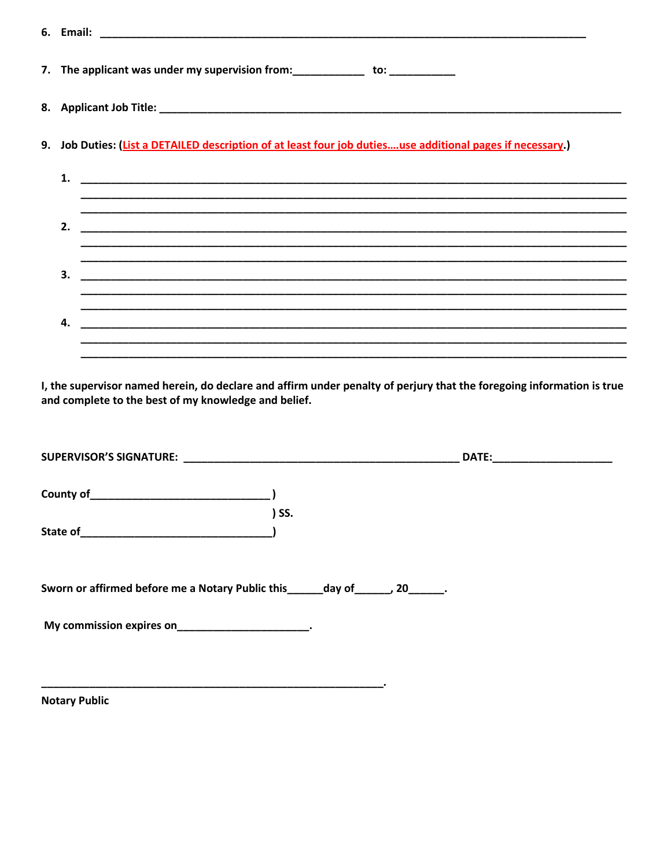| 7. The applicant was under my supervision from:_____________ to: ___________                               |  |  |  |
|------------------------------------------------------------------------------------------------------------|--|--|--|
|                                                                                                            |  |  |  |
| 9. Job Duties: (List a DETAILED description of at least four job dutiesuse additional pages if necessary.) |  |  |  |
| 1.                                                                                                         |  |  |  |
| 2.                                                                                                         |  |  |  |
| 3.                                                                                                         |  |  |  |
|                                                                                                            |  |  |  |
| 4.                                                                                                         |  |  |  |
|                                                                                                            |  |  |  |

I, the supervisor named herein, do declare and affirm under penalty of perjury that the foregoing information is true and complete to the best of my knowledge and belief.

|                                                                                  | $)$ SS. |  |
|----------------------------------------------------------------------------------|---------|--|
|                                                                                  |         |  |
|                                                                                  |         |  |
| Sworn or affirmed before me a Notary Public this ______ day of ______, 20______. |         |  |
| My commission expires on________________________.                                |         |  |
|                                                                                  |         |  |

**Notary Public**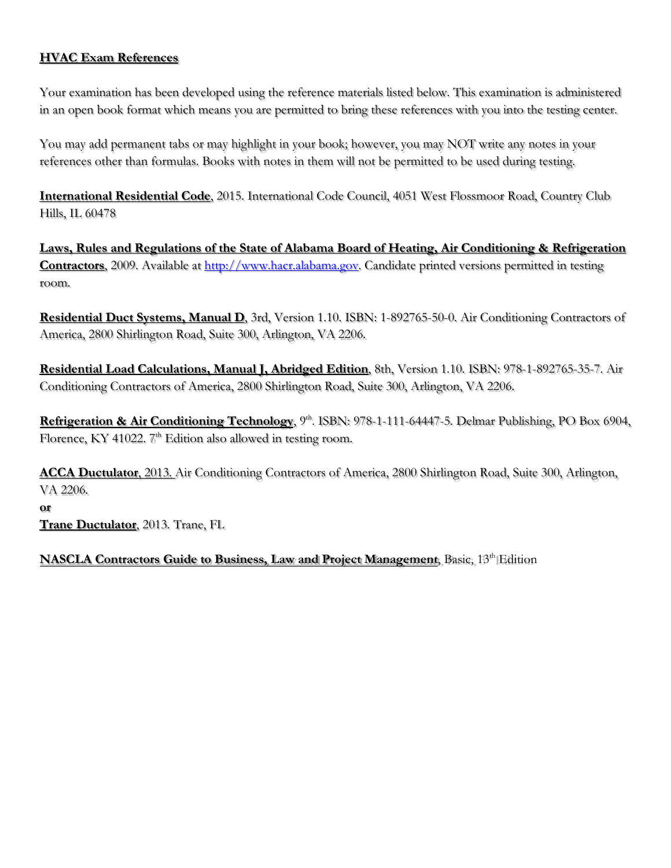# **HVAC Exam References**

Your examination has been developed using the reference materials listed below. This examination is administered in an open book format which means you are permitted to bring these references with you into the testing center.

You may add permanent tabs or may highlight in your book; however, you may NOT write any notes in your references other than formulas. Books with notes in them will not be permitted to be used during testing.

**International Residential Code**, 2015. International Code Council, 4051 West Flossmoor Road, Country Club Hills, IL 60478

**Laws, Rules and Regulations of the State of Alabama Board of Heating, Air Conditioning & Refrigeration Contractors**, 2009. Available at **http://www.hacr.alabama.gov**. Candidate printed versions permitted in testing room.

**Residential Duct Systems, Manual D**, 3rd, Version 1.10. ISBN: 1-892765-50-0. Air Conditioning Contractors of America, 2800 Shirlington Road, Suite 300, Arlington, VA 2206.

**Residential Load Calculations, Manual J, Abridged Edition**, 8th, Version 1.10. ISBN: 978-1-892765-35-7. Air Conditioning Contractors of America, 2800 Shirlington Road, Suite 300, Arlington, VA 2206.

**Refrigeration & Air Conditioning Technology**, 9 th. ISBN: 978-1-111-64447-5. Delmar Publishing, PO Box 6904, Florence, KY 41022.  $\mathbb{Z}^{\text{th}}$  Edition also allowed in testing room.

**ACCA Ductulator**, 2013. Air Conditioning Contractors of America, 2800 Shirlington Road, Suite 300, Arlington, VA 2206. **or** 

**Trane Ductulator**, 2013. Trane, FL

**NASCLA Contractors Guide to Business, Law and Project Management**, Basic, 13 th Edition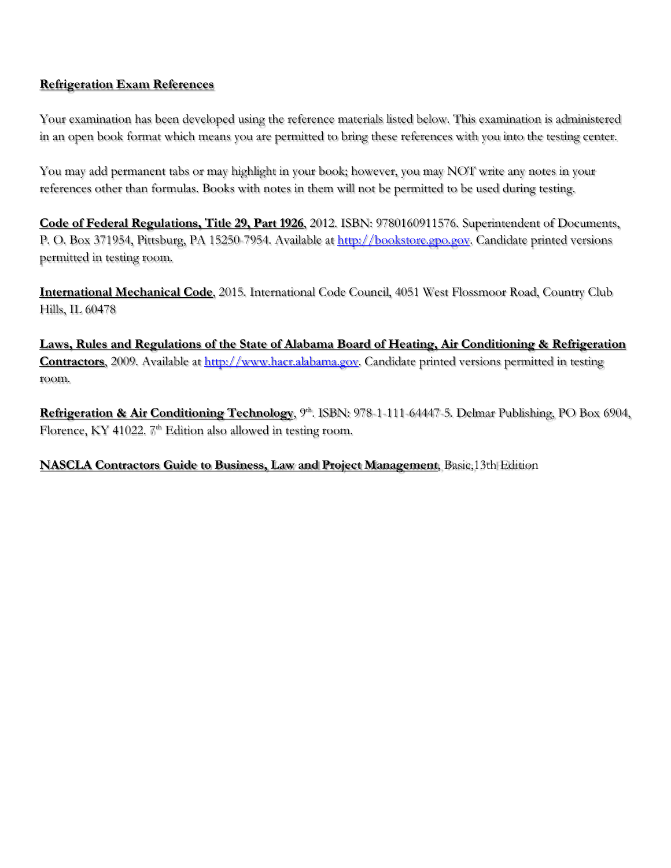## **Refrigeration Exam References**

Your examination has been developed using the reference materials listed below. This examination is administered in an open book format which means you are permitted to bring these references with you into the testing center.

You may add permanent tabs or may highlight in your book; however, you may NOT write any notes in your references other than formulas. Books with notes in them will not be permitted to be used during testing.

**Code of Federal Regulations, Title 29, Part 1926**, 2012. ISBN: 9780160911576. Superintendent of Documents, P. O. Box 371954, Pittsburg, PA 15250-7954. Available a[t http://bookstore.gpo.gov.](http://bookstore.gpo.gov/) Candidate printed versions permitted in testing room.

**International Mechanical Code**, 2015. International Code Council, 4051 West Flossmoor Road, Country Club Hills, IL 60478

**Laws, Rules and Regulations of the State of Alabama Board of Heating, Air Conditioning & Refrigeration Contractors**, 2009. Available at [http://www.hacr.alabama.gov.](http://www.hacr.alabama.gov/) Candidate printed versions permitted in testing room.

**Refrigeration & Air Conditioning Technology**, 9 th. ISBN: 978-1-111-64447-5. Delmar Publishing, PO Box 6904, Florence, KY 41022.  $\mathbb{Z}^{\text{th}}$  Edition also allowed in testing room.

# **NASCLA Contractors Guide to Business, Law and Project Management**, Basic,13th Edition